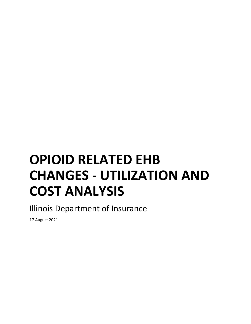# **OPIOID RELATED EHB CHANGES - UTILIZATION AND COST ANALYSIS**

Illinois Department of Insurance

17 August 2021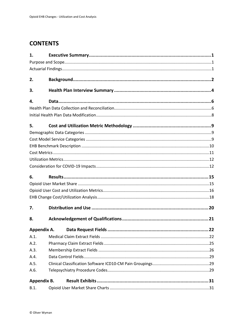#### **CONTENTS**

| 1.          |  |
|-------------|--|
|             |  |
|             |  |
| 2.          |  |
| 3.          |  |
| 4.          |  |
|             |  |
|             |  |
| 5.          |  |
|             |  |
|             |  |
|             |  |
|             |  |
|             |  |
|             |  |
| 6.          |  |
|             |  |
|             |  |
|             |  |
|             |  |
| 7.          |  |
| 8.          |  |
| Appendix A. |  |
| A.1.        |  |
| A.2.        |  |
| A.3.        |  |
| A.4.        |  |
| A.5.        |  |
| A.6.        |  |
| Appendix B. |  |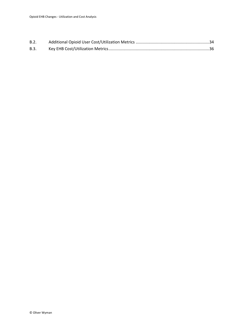| B.2. |  |
|------|--|
| B.3. |  |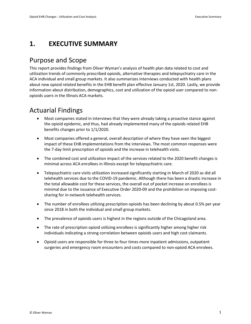#### <span id="page-3-0"></span>**1. EXECUTIVE SUMMARY**

#### <span id="page-3-1"></span>Purpose and Scope

This report provides findings from Oliver Wyman's analysis of health plan data related to cost and utilization trends of commonly prescribed opioids, alternative therapies and telepsychiatry care in the ACA individual and small group markets. It also summarizes interviews conducted with health plans about new opioid related benefits in the EHB benefit plan effective January 1st, 2020. Lastly, we provide information about distribution, demographics, cost and utilization of the opioid user compared to nonopioids users in the Illinois ACA markets.

#### <span id="page-3-2"></span>Actuarial Findings

- Most companies stated in interviews that they were already taking a proactive stance against the opioid epidemic, and thus, had already implemented many of the opioids related EHB benefits changes prior to 1/1/2020.
- Most companies offered a general, overall description of where they have seen the biggest impact of these EHB implementations from the interviews. The most common responses were the 7-day limit prescription of opioids and the increase in telehealth visits.
- The combined cost and utilization impact of the services related to the 2020 benefit changes is minimal across ACA enrollees in Illinois except for telepsychiatric care.
- Telepsychiatric care visits utilization increased significantly starting in March of 2020 as did all telehealth services due to the COVID-19 pandemic. Although there has been a drastic increase in the total allowable cost for these services, the overall out of pocket increase on enrollees is minimal due to the issuance of Executive Order 2020-09 and the prohibition on imposing costsharing for in-network telehealth services.
- The number of enrollees utilizing prescription opioids has been declining by about 0.5% per year since 2018 in both the individual and small group markets.
- The prevalence of opioids users is highest in the regions outside of the Chicagoland area.
- The rate of prescription opioid utilizing enrollees is significantly higher among higher risk individuals indicating a strong correlation between opioids users and high cost claimants.
- Opioid users are responsible for three to four times more inpatient admissions, outpatient surgeries and emergency room encounters and costs compared to non-opioid ACA enrolees.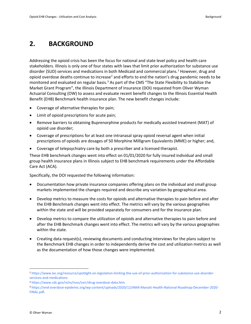#### <span id="page-4-0"></span>**2. BACKGROUND**

Addressing the opioid crisis has been the focus for national and state level policy and health care stakeholders. Illinois is only one of four states with laws that limit prior authorization for substance use disorder (SUD) services and medications in both Medicaid and commercial plans.<sup>[1](#page-4-1)</sup> However, drug and opioid overdose deaths continue to increase<sup>[2](#page-4-2)</sup> and efforts to end the nation's drug pandemic needs to be monitored and evaluated on regular basis.<sup>[3](#page-4-3)</sup> As part of the CMS "The State Flexibility to Stabilize the Market Grant Program", the Illinois Department of Insurance (DOI) requested from Oliver Wyman Actuarial Consulting (OW) to assess and evaluate recent benefit changes to the Illinois Essential Health Benefit (EHB) Benchmark health insurance plan. The new benefit changes include:

- Coverage of alternative therapies for pain;
- Limit of opioid prescriptions for acute pain;
- Remove barriers to obtaining Buprenorphine products for medically assisted treatment (MAT) of opioid use disorder;
- Coverage of prescriptions for at least one intranasal spray opioid reversal agent when initial prescriptions of opioids are dosages of 50 Morphine Milligram Equivalents (MME) or higher; and,
- Coverage of telepsychiatry care by both a prescriber and a licensed therapist.

These EHB benchmark changes went into effect on 01/01/2020 for fully insured individual and small group health insurance plans in Illinois subject to EHB benchmark requirements under the Affordable Care Act (ACA).

Specifically, the DOI requested the following information:

- Documentation how private insurance companies offering plans on the individual and small group markets implemented the changes required and describe any variation by geographical area.
- Develop metrics to measure the costs for opioids and alternative therapies to pain before and after the EHB Benchmark changes went into effect. The metrics will vary by the various geographies within the state and will be provided separately for consumers and for the insurance plan.
- Develop metrics to compare the utilization of opioids and alternative therapies to pain before and after the EHB Benchmark changes went into effect. The metrics will vary by the various geographies within the state.
- Creating data request(s), reviewing documents and conducting interviews for the plans subject to the Benchmark EHB changes in order to independently derive the cost and utilization metrics as well as the documentation of how those changes were implemented.

<span id="page-4-1"></span><sup>1</sup> [https://www.lac.org/resource/spotlight-on-legislation-limiting-the-use-of-prior-authorization-for-substance-use-disorder](https://www.lac.org/resource/spotlight-on-legislation-limiting-the-use-of-prior-authorization-for-substance-use-disorder-services-and-medications)[services-and-medications](https://www.lac.org/resource/spotlight-on-legislation-limiting-the-use-of-prior-authorization-for-substance-use-disorder-services-and-medications)

<span id="page-4-2"></span><sup>2</sup> <https://www.cdc.gov/nchs/nvss/vsrr/drug-overdose-data.htm>

<span id="page-4-3"></span><sup>3</sup> [https://end-overdose-epidemic.org/wp-content/uploads/2020/12/AMA-Manatt-Health-National-Roadmap-December-2020-](https://end-overdose-epidemic.org/wp-content/uploads/2020/12/AMA-Manatt-Health-National-Roadmap-December-2020-FINAL.pdf) [FINAL.pdf.](https://end-overdose-epidemic.org/wp-content/uploads/2020/12/AMA-Manatt-Health-National-Roadmap-December-2020-FINAL.pdf)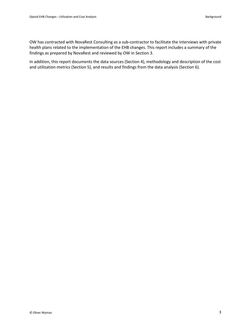OW has contracted with NovaRest Consulting as a sub-contractor to facilitate the interviews with private health plans related to the implementation of the EHB changes. This report includes a summary of the findings as prepared by NovaRest and reviewed by OW in Section 3.

In addition, this report documents the data sources (Section 4), methodology and description of the cost and utilization metrics (Section 5), and results and findings from the data analysis (Section 6).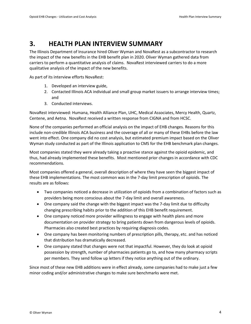#### <span id="page-6-0"></span>**3. HEALTH PLAN INTERVIEW SUMMARY**

The Illinois Department of Insurance hired Oliver Wyman and NovaRest as a subcontractor to research the impact of the new benefits in the EHB benefit plan in 2020. Oliver Wyman gathered data from carriers to perform a quantitative analysis of claims. NovaRest interviewed carriers to do a more qualitative analysis of the impact of the new benefits.

As part of its interview efforts NovaRest:

- 1. Developed an interview guide,
- 2. Contacted Illinois ACA individual and small group market issuers to arrange interview times; and
- 3. Conducted interviews.

NovaRest interviewed: Humana, Health Alliance Plan, UHC, Medical Associates, Mercy Health, Quartz, Centene, and Aetna. NovaRest received a written response from CIGNA and from HCSC.

None of the companies performed an official analysis on the impact of EHB changes. Reasons for this include non-credible Illinois ACA business and the coverage of all or many of these EHBs before the law went into effect. One company did no cost analysis, but estimated premium impact based on the Oliver Wyman study conducted as part of the Illinois application to CMS for the EHB benchmark plan changes.

Most companies stated they were already taking a proactive stance against the opioid epidemic, and thus, had already implemented these benefits. Most mentioned prior changes in accordance with CDC recommendations.

Most companies offered a general, overall description of where they have seen the biggest impact of these EHB implementations. The most common was in the 7-day limit prescription of opioids. The results are as follows:

- Two companies noticed a decrease in utilization of opioids from a combination of factors such as providers being more conscious about the 7-day limit and overall awareness.
- One company said the change with the biggest impact was the 7-day limit due to difficulty changing prescribing habits prior to the addition of this EHB benefit requirement.
- One company noticed more provider willingness to engage with health plans and more documentation on provider strategy to bring patients down from dangerous levels of opioids. Pharmacies also created best practices by requiring diagnosis codes.
- One company has been monitoring numbers of prescription pills, therapy, etc. and has noticed that distribution has dramatically decreased.
- One company stated that changes were not that impactful. However, they do look at opioid possession by strength, number of pharmacies patients go to, and how many pharmacy scripts per members. They send follow up letters if they notice anything out of the ordinary.

Since most of these new EHB additions were in effect already, some companies had to make just a few minor coding and/or administrative changes to make sure benchmarks were met.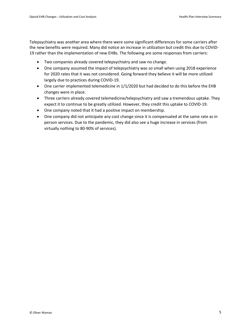Telepsychiatry was another area where there were some significant differences for some carriers after the new benefits were required. Many did notice an increase in utilization but credit this due to COVID-19 rather than the implementation of new EHBs. The following are some responses from carriers:

- Two companies already covered telepsychiatry and saw no change.
- One company assumed the impact of telepsychiatry was so small when using 2018 experience for 2020 rates that it was not considered. Going forward they believe it will be more utilized largely due to practices during COVID-19.
- One carrier implemented telemedicine in 1/1/2020 but had decided to do this before the EHB changes were in place.
- Three carriers already covered telemedicine/telepsychiatry and saw a tremendous uptake. They expect it to continue to be greatly utilized. However, they credit this uptake to COVID-19.
- One company noted that it had a positive impact on membership.
- One company did not anticipate any cost change since it is compensated at the same rate as in person services. Due to the pandemic, they did also see a huge increase in services (from virtually nothing to 80-90% of services).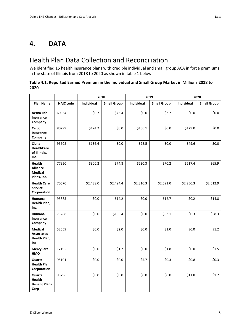#### <span id="page-8-1"></span><span id="page-8-0"></span>Health Plan Data Collection and Reconciliation

We identified 15 health insurance plans with credible individual and small group ACA in force premiums in the state of Illinois from 2018 to 2020 as shown in table 1 below.

#### **Table 4.1: Reported Earned Premium in the Individual and Small Group Market in Millions 2018 to 2020**

|                                                            |                  |            | 2018               |                   | 2019               | 2020       |                    |
|------------------------------------------------------------|------------------|------------|--------------------|-------------------|--------------------|------------|--------------------|
| Plan Name                                                  | <b>NAIC code</b> | Individual | <b>Small Group</b> | <b>Individual</b> | <b>Small Group</b> | Individual | <b>Small Group</b> |
| <b>Aetna Life</b><br>Insurance<br>Company                  | 60054            | \$0.7      | \$43.4             | \$0.0             | \$3.7              | \$0.0      | \$0.0\$            |
| <b>Celtic</b><br>Insurance<br>Company                      | 80799            | \$174.2    | \$0.0\$            | \$166.1           | \$0.0\$            | \$129.0    | \$0.0\$            |
| Cigna<br><b>HealthCare</b><br>of Illinois,<br>Inc.         | 95602            | \$136.6    | \$0.0\$            | \$98.5            | \$0.0\$            | \$49.6     | \$0.0\$            |
| Health<br><b>Alliance</b><br><b>Medical</b><br>Plans, Inc. | 77950            | \$300.2    | \$74.8             | \$230.3           | \$70.2             | \$217.4    | \$65.9             |
| <b>Health Care</b><br><b>Service</b><br>Corporation        | 70670            | \$2,438.0  | \$2,494.4          | \$2,310.3         | \$2,591.0          | \$2,250.3  | \$2,612.9          |
| <b>Humana</b><br>Health Plan,<br>Inc.                      | 95885            | \$0.0      | \$14.2             | \$0.0\$           | \$12.7             | \$0.2\$    | \$14.8             |
| Humana<br>Insurance<br>Company                             | 73288            | \$0.0\$    | \$105.4            | \$0.0\$           | \$83.1             | \$0.3\$    | \$58.3             |
| <b>Medical</b><br><b>Associates</b><br>Health Plan,<br>Inc | 52559            | \$0.0\$    | \$2.0              | \$0.0\$           | \$1.0              | \$0.0\$    | \$1.2\$            |
| <b>MercyCare</b><br>HMO                                    | 12195            | \$0.0\$    | \$1.7              | \$0.0\$           | \$1.8              | \$0.0\$    | \$1.5              |
| Quartz<br><b>Health Plan</b><br>Corporation                | 95101            | \$0.0      | \$0.0\$            | \$5.7             | \$0.3\$            | $-50.8$    | \$0.3\$            |
| Quartz<br>Health<br><b>Benefit Plans</b><br>Corp           | 95796            | \$0.0      | \$0.0\$            | \$0.0\$           | \$0.0\$            | \$11.8     | \$1.2              |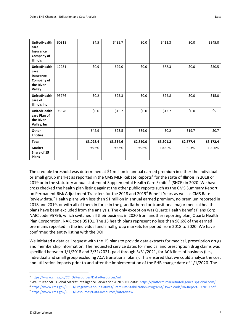| <b>UnitedHealth</b><br>care<br>Insurance<br>Company of<br><b>Illinois</b>            | 60318 | \$4.5     | \$435.7   | \$0.0\$   | \$413.3   | \$0.0\$   | \$345.0   |
|--------------------------------------------------------------------------------------|-------|-----------|-----------|-----------|-----------|-----------|-----------|
| <b>UnitedHealth</b><br>care<br>Insurance<br>Company of<br>the River<br><b>Valley</b> | 12231 | \$0.9     | \$99.0    | \$0.0\$   | \$88.3    | \$0.0\$   | \$50.5    |
| <b>UnitedHealth</b><br>care of<br><b>Illinois Inc</b>                                | 95776 | \$0.2\$   | \$25.3    | \$0.0\$   | \$22.8    | \$0.0\$   | \$15.0    |
| <b>UnitedHealth</b><br>care Plan of<br>the River<br>Valley, Inc.                     | 95378 | \$0.0\$   | \$15.2    | \$0.0\$   | \$12.7    | \$0.0\$   | \$5.1     |
| Other<br><b>Entities</b>                                                             |       | \$42.9    | \$23.5    | \$39.0    | \$0.2\$   | \$19.7    | \$0.7     |
| <b>Total</b>                                                                         |       | \$3,098.4 | \$3,334.6 | \$2,850.0 | \$3,301.2 | \$2,677.4 | \$3,172.4 |
| <b>Market</b><br>Share of 15<br>Plans                                                |       | 98.6%     | 99.3%     | 98.6%     | 100.0%    | 99.3%     | 100.0%    |

The credible threshold was determined at \$1 million in annual earned premium in either the individual or small group market as reported in the CMS MLR Rebate Reports<sup>[4](#page-9-0)</sup> for the state of Illinois in 2018 or 2019 or in the statutory annual statement Supplemental Health Care Exhibit<sup>[5](#page-9-1)</sup> (SHCE) in 2020. We have cross checked the health plan listing against the other public reports such as the CMS Summary Report on Permanent Risk Adjustment Transfers for the 2018 and 2019[6](#page-9-2) Benefit Years as well as CMS Rate Review data.<sup>[7](#page-9-3)</sup> Health plans with less than \$1 million in annual earned premium, no premium reported in 2018 and 2019, or with all of them in force in the grandfathered or transitional major medical health plans have been excluded from the analysis. The only exception was Quartz Health Benefit Plans Corp, NAIC code 95796, which switched all their business in 2020 from another reporting plan, Quartz Health Plan Corporation, NAIC code 95101. The 15 health plans represent no less than 98.6% of the earned premiums reported in the individual and small group markets for period from 2018 to 2020. We have confirmed the entity listing with the DOI.

We initiated a data call request with the 15 plans to provide data extracts for medical, prescription drugs and membership information. The requested service dates for medical and prescription drug claims was specified between 1/1/2018 and 3/31/2021, paid through 3/31/2021, for ACA lines of business (i.e., individual and small group excluding ACA transitional plans). This ensured that we could analyze the cost and utilization impacts prior to and after the implementation of the EHB change date of 1/1/2020. The

<span id="page-9-0"></span><sup>4</sup> <https://www.cms.gov/CCIIO/Resources/Data-Resources/mlr>

<span id="page-9-1"></span><sup>5</sup> We utilized S&P Global Market Intelligence Service for 2020 SHCE data:<https://platform.marketintelligence.spglobal.com/>

<span id="page-9-2"></span><sup>6</sup> <https://www.cms.gov/CCIIO/Programs-and-Initiatives/Premium-Stabilization-Programs/Downloads/RA-Report-BY2019.pdf>

<span id="page-9-3"></span><sup>7</sup> <https://www.cms.gov/CCIIO/Resources/Data-Resources/ratereview>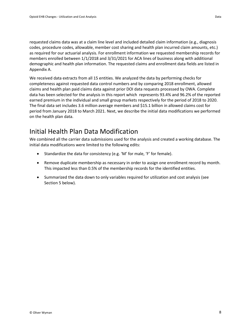requested claims data was at a claim line level and included detailed claim information (e.g., diagnosis codes, procedure codes, allowable, member cost sharing and health plan incurred claim amounts, etc.) as required for our actuarial analysis. For enrollment information we requested membership records for members enrolled between 1/1/2018 and 3/31/2021 for ACA lines of business along with additional demographic and health plan information. The requested claims and enrollment data fields are listed in Appendix A.

We received data extracts from all 15 entities. We analyzed the data by performing checks for completeness against requested data control numbers and by comparing 2018 enrollment, allowed claims and health plan paid claims data against prior DOI data requests processed by OWA. Complete data has been selected for the analysis in this report which represents 93.4% and 96.2% of the reported earned premium in the individual and small group markets respectively for the period of 2018 to 2020. The final data set includes 3.6 million average members and \$15.1 billion in allowed claims cost for period from January 2018 to March 2021. Next, we describe the initial data modifications we performed on the health plan data.

#### <span id="page-10-0"></span>Initial Health Plan Data Modification

We combined all the carrier data submissions used for the analysis and created a working database. The initial data modifications were limited to the following edits:

- Standardize the data for consistency (e.g. 'M' for male, 'F' for female).
- Remove duplicate membership as necessary in order to assign one enrollment record by month. This impacted less than 0.5% of the membership records for the identified entities.
- Summarized the data down to only variables required for utilization and cost analysis (see Section 5 below).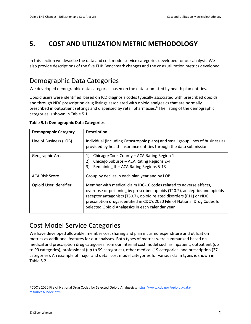#### <span id="page-11-0"></span>**5. COST AND UTILIZATION METRIC METHODOLOGY**

In this section we describe the data and cost model service categories developed for our analysis. We also provide descriptions of the five EHB Benchmark changes and the cost/utilization metrics developed.

#### <span id="page-11-1"></span>Demographic Data Categories

We developed demographic data categories based on the data submitted by health plan entities.

Opioid users were identified based on ICD diagnosis codes typically associated with prescribed opioids and through NDC prescription drug listings associated with opioid analgesics that are normally prescribed in outpatient settings and dispensed by retail pharmacies. [8](#page-11-3) The listing of the demographic categories is shown in Table 5.1.

| <b>Demographic Category</b> | <b>Description</b>                                                                                                                                                                                                                                                                                                                                          |
|-----------------------------|-------------------------------------------------------------------------------------------------------------------------------------------------------------------------------------------------------------------------------------------------------------------------------------------------------------------------------------------------------------|
| Line of Business (LOB)      | Individual (including Catastrophic plans) and small group lines of business as<br>provided by health insurance entities through the data submission                                                                                                                                                                                                         |
| Geographic Areas            | Chicago/Cook County – ACA Rating Region 1<br>1)<br>Chicago Suburbs - ACA Rating Regions 2-4<br>2)<br>Remaining IL - ACA Rating Regions 5-13<br>3)                                                                                                                                                                                                           |
| <b>ACA Risk Score</b>       | Group by deciles in each plan year and by LOB                                                                                                                                                                                                                                                                                                               |
| Opioid User Identifier      | Member with medical claim IDC-10 codes related to adverse effects,<br>overdose or poisoning by prescribed opioids (T40.2), analeptics and opioids<br>receptor antagonists (T50.7), opioid related disorders (F11) or NDC<br>prescription drugs identified in CDC's 2020 File of National Drug Codes for<br>Selected Opioid Analgesics in each calendar year |

**Table 5.1: Demographic Data Categories**

#### <span id="page-11-2"></span>Cost Model Service Categories

We have developed allowable, member cost sharing and plan incurred expenditure and utilization metrics as additional features for our analyses. Both types of metrics were summarized based on medical and prescription drug categories from our internal cost model such as inpatient, outpatient (up to 99 categories), professional (up to 99 categories), other medical (19 categories) and prescription (27 categories). An example of major and detail cost model categories for various claim types is shown in Table 5.2.

<span id="page-11-3"></span><sup>8</sup> CDC's 2020 File of National Drug Codes for Selected Opioid Analgesics[: https://www.cdc.gov/opioids/data](https://www.cdc.gov/opioids/data-resources/index.html)[resources/index.html](https://www.cdc.gov/opioids/data-resources/index.html)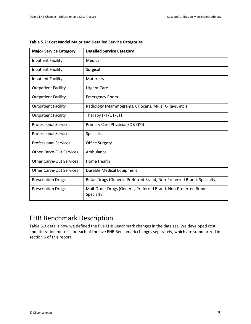| <b>Major Service Category</b>   | <b>Detailed Service Category</b>                                               |
|---------------------------------|--------------------------------------------------------------------------------|
| <b>Inpatient Facility</b>       | Medical                                                                        |
| <b>Inpatient Facility</b>       | Surgical                                                                       |
| <b>Inpatient Facility</b>       | Maternity                                                                      |
| <b>Outpatient Facility</b>      | <b>Urgent Care</b>                                                             |
| <b>Outpatient Facility</b>      | <b>Emergency Room</b>                                                          |
| <b>Outpatient Facility</b>      | Radiology (Mammograms, CT Scans, MRIs, X-Rays, etc.)                           |
| <b>Outpatient Facility</b>      | Therapy (PT/OT/ST)                                                             |
| <b>Professional Services</b>    | Primary Care Physician/OB-GYN                                                  |
| <b>Professional Services</b>    | Specialist                                                                     |
| <b>Professional Services</b>    | <b>Office Surgery</b>                                                          |
| <b>Other Carve-Out Services</b> | Ambulance                                                                      |
| <b>Other Carve-Out Services</b> | Home Health                                                                    |
| <b>Other Carve-Out Services</b> | <b>Durable Medical Equipment</b>                                               |
| <b>Prescription Drugs</b>       | Retail Drugs (Generic, Preferred Brand, Non-Preferred Brand, Specialty)        |
| <b>Prescription Drugs</b>       | Mail-Order Drugs (Generic, Preferred Brand, Non-Preferred Brand,<br>Specialty) |

| Table 5.2: Cost Model Major and Detailed Service Categories |  |  |
|-------------------------------------------------------------|--|--|
|-------------------------------------------------------------|--|--|

#### <span id="page-12-0"></span>EHB Benchmark Description

Table 5.3 details how we defined the five EHB Benchmark changes in the data set. We developed cost and utilization metrics for each of the five EHB Benchmark changes separately, which are summarized in section 6 of this report.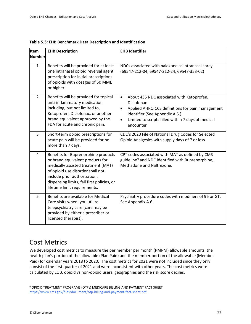| <b>Item</b><br><b>Number</b> | <b>EHB Description</b>                                                                                                                                                                                                                                          | <b>EHB Identifier</b>                                                                                                                                                                                                                                   |
|------------------------------|-----------------------------------------------------------------------------------------------------------------------------------------------------------------------------------------------------------------------------------------------------------------|---------------------------------------------------------------------------------------------------------------------------------------------------------------------------------------------------------------------------------------------------------|
| $\mathbf{1}$                 | Benefits will be provided for at least<br>one intranasal opioid reversal agent<br>prescription for initial prescriptions<br>of opioids with dosages of 50 MME<br>or higher.                                                                                     | NDCs associated with naloxone as intranasal spray<br>(69547-212-04, 69547-212-24, 69547-353-02)                                                                                                                                                         |
| $\overline{2}$               | Benefits will be provided for topical<br>anti-inflammatory medication<br>including, but not limited to,<br>Ketoprofen, Diclofenac, or another<br>brand equivalent approved by the<br>FDA for acute and chronic pain.                                            | About 435 NDC associated with Ketoprofen,<br>$\bullet$<br>Diclofenac<br>Applied AHRQ CCS definitions for pain management<br>$\bullet$<br>identifier (See Appendix A.5.)<br>Limited to scripts filled within 7 days of medical<br>$\bullet$<br>encounter |
| 3                            | Short-term opioid prescriptions for<br>acute pain will be provided for no<br>more than 7 days.                                                                                                                                                                  | CDC's 2020 File of National Drug Codes for Selected<br>Opioid Analgesics with supply days of 7 or less                                                                                                                                                  |
| 4                            | Benefits for Buprenorphine products<br>or brand equivalent products for<br>medically assisted treatment (MAT)<br>of opioid use disorder shall not<br>include prior authorization,<br>dispensing limits, fail first policies, or<br>lifetime limit requirements. | CPT codes associated with MAT as defined by CMS<br>guideline <sup>9</sup> and NDC identified with Buprenorphine,<br>Methadone and Naltrexone.                                                                                                           |
| 5                            | Benefits are available for Medical<br>Care visits when: you utilize<br>telepsychiatry care (care may be<br>provided by either a prescriber or<br>licensed therapist).                                                                                           | Psychiatry procedure codes with modifiers of 96 or GT.<br>See Appendix A.6.                                                                                                                                                                             |

#### **Table 5.3: EHB Benchmark Data Description and Identification**

#### <span id="page-13-0"></span>Cost Metrics

We developed cost metrics to measure the per member per month (PMPM) allowable amounts, the health plan's portion of the allowable (Plan Paid) and the member portion of the allowable (Member Paid) for calendar years 2018 to 2020. The cost metrics for 2021 were not included since they only consist of the first quarter of 2021 and were inconsistent with other years. The cost metrics were calculated by LOB, opioid vs non-opioid users, geographies and the risk score deciles.

<span id="page-13-1"></span><sup>9</sup> OPIOID TREATMENT PROGRAMS (OTPs) MEDICARE BILLING AND PAYMENT FACT SHEET <https://www.cms.gov/files/document/otp-billing-and-payment-fact-sheet.pdf>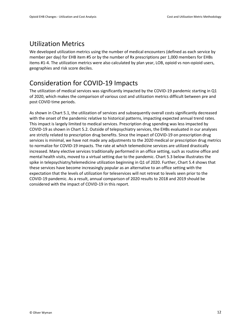#### <span id="page-14-0"></span>Utilization Metrics

We developed utilization metrics using the number of medical encounters (defined as each service by member per day) for EHB item #5 or by the number of Rx prescriptions per 1,000 members for EHBs items #1-4. The utilization metrics were also calculated by plan year, LOB, opioid vs non-opioid users, geographies and risk score deciles.

## <span id="page-14-1"></span>Consideration for COVID-19 Impacts

The utilization of medical services was significantly impacted by the COVID-19 pandemic starting in Q1 of 2020, which makes the comparison of various cost and utilization metrics difficult between pre and post COVID time periods.

As shown in Chart 5.1, the utilization of services and subsequently overall costs significantly decreased with the onset of the pandemic relative to historical patterns, impacting expected annual trend rates. This impact is largely limited to medical services. Prescription drug spending was less impacted by COVID-19 as shown in Chart 5.2. Outside of telepsychiatry services, the EHBs evaluated in our analyses are strictly related to prescription drug benefits. Since the impact of COVID-19 on prescription drug services is minimal, we have not made any adjustments to the 2020 medical or prescription drug metrics to normalize for COVID-19 impacts. The rate at which telemedicine services are utilized drastically increased. Many elective services traditionally performed in an office setting, such as routine office and mental health visits, moved to a virtual setting due to the pandemic. Chart 5.3 below illustrates the spike in telepsychiatry/telemedicine utilization beginning in Q1 of 2020. Further, Chart 5.4 shows that these services have become increasingly popular as an alternative to an office setting with the expectation that the levels of utilization for teleservices will not retreat to levels seen prior to the COVID-19 pandemic. As a result, annual comparison of 2020 results to 2018 and 2019 should be considered with the impact of COVID-19 in this report.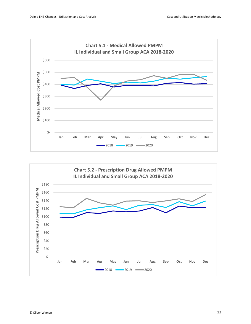

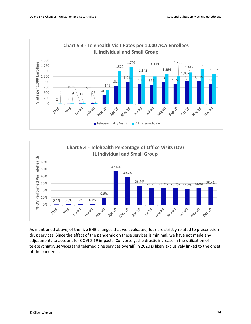



As mentioned above, of the five EHB changes that we evaluated, four are strictly related to prescription drug services. Since the effect of the pandemic on these services is minimal, we have not made any adjustments to account for COVID-19 impacts. Conversely, the drastic increase in the utilization of telepsychiatry services (and telemedicine services overall) in 2020 is likely exclusively linked to the onset of the pandemic.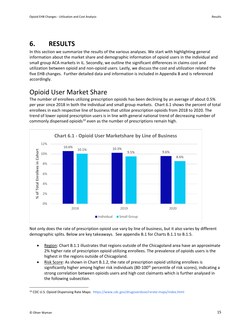#### <span id="page-17-0"></span>**6. RESULTS**

In this section we summarize the results of the various analyses. We start with highlighting general information about the market share and demographic information of opioid users in the individual and small group ACA markets in IL. Secondly, we outline the significant differences in claims cost and utilization between opioid and non-opioid users. Lastly, we discuss the cost and utilization related the five EHB changes. Further detailed data and information is included in Appendix B and is referenced accordingly.

#### <span id="page-17-1"></span>Opioid User Market Share

The number of enrollees utilizing prescription opioids has been declining by an average of about 0.5% per year since 2018 in both the individual and small group markets. Chart 6.1 shows the percent of total enrollees in each respective line of business that utilize prescription opioids from 2018 to 2020. The trend of lower opioid prescription users is in line with general national trend of decreasing number of commonly dispensed opioids $10$  even as the number of prescriptions remain high.



Not only does the rate of prescription opioid use vary by line of business, but it also varies by different demographic splits. Below are key takeaways. See appendix B.1 for Charts B.1.1 to B.1.5.

- Region: Chart B.1.1 illustrates that regions outside of the Chicagoland area have an approximate 2% higher rate of prescription opioid utilizing enrollees. The prevalence of opioids users is the highest in the regions outside of Chicagoland.
- Risk Score: As shown in Chart B.1.2, the rate of prescription opioid utilizing enrollees is significantly higher among higher risk individuals (80-100<sup>th</sup> percentile of risk scores), indicating a strong correlation between opioids users and high cost claimants which is further analysed in the following subsection.

<span id="page-17-2"></span><sup>10</sup> CDC U.S. Opioid Dispensing Rate Maps:<https://www.cdc.gov/drugoverdose/rxrate-maps/index.html>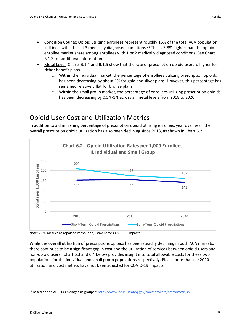- Metal Level: Charts B.1.4 and B.1.5 show that the rate of prescription opioid users is higher for richer benefit plans.
	- $\circ$  Within the individual market, the percentage of enrollees utilizing prescription opioids has been decreasing by about 1% for gold and silver plans. However, this percentage has remained relatively flat for bronze plans.
	- $\circ$  Within the small group market, the percentage of enrollees utilizing prescription opioids has been decreasing by 0.5%-1% across all metal levels from 2018 to 2020.

#### <span id="page-18-0"></span>Opioid User Cost and Utilization Metrics

In addition to a diminishing percentage of prescription opioid utilizing enrollees year over year, the overall prescription opioid utilization has also been declining since 2018, as shown in Chart 6.2.



Note: 2020 metrics as reported without adjustment for COVID-19 impacts

While the overall utilization of prescriptions opioids has been steadily declining in both ACA markets, there continues to be a significant gap in cost and the utilization of services between opioid users and non-opioid users. Chart 6.3 and 6.4 below provides insight into total allowable costs for these two populations for the individual and small group populations respectively. Please note that the 2020 utilization and cost metrics have not been adjusted for COVID-19 impacts.

<span id="page-18-1"></span><sup>11</sup> Based on the AHRQ CCS diagnosis grouper:<https://www.hcup-us.ahrq.gov/toolssoftware/ccsr/dxccsr.jsp>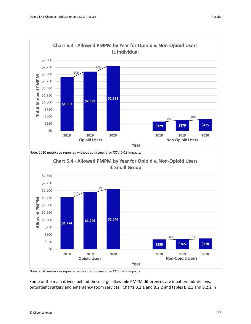

Note: 2020 metrics as reported without adjustment for COVID-19 impacts.



Note: 2020 metrics as reported without adjustment for COVID-19 impacts

Some of the main drivers behind these large allowable PMPM differences are inpatient admissions, outpatient surgery and emergency room services. Charts B.2.1 and B.2.2 and tables B.2.1 and B.2.2 in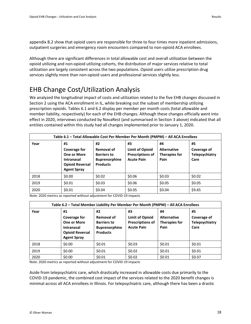appendix B.2 show that opioid users are responsible for three to four times more inpatient admissions, outpatient surgeries and emergency room encounters compared to non-opioid ACA enrollees.

Although there are significant differences in total allowable cost and overall utilization between the opioid utilizing and non-opioid utilizing cohorts, the distribution of major services relative to total utilization are largely consistent across the two populations. Opioid users utilize prescription drug services slightly more than non-opioid users and professional services slightly less.

#### <span id="page-20-0"></span>EHB Change Cost/Utilization Analysis

We analyzed the longitudinal impact of costs and utilization related to the five EHB changes discussed in Section 2 using the ACA enrollment in IL, while breaking out the subset of membership utilizing prescription opioids. Tables 6.1 and 6.2 display per member per month costs (total allowable and member liability, respectively) for each of the EHB changes. Although these changes officially went into effect in 2020, interviews conducted by NovaRest (and summarised in Section 3 above) indicated that all entities contained within this study had all changes implemented prior to January 1, 2020.

| Table 6.1 - Total Allowable Cost Per Member Per Month (PMPM) - All ACA Enrollees |                                                                                                                      |                                                                                   |                                                                              |                                                          |                                                           |  |
|----------------------------------------------------------------------------------|----------------------------------------------------------------------------------------------------------------------|-----------------------------------------------------------------------------------|------------------------------------------------------------------------------|----------------------------------------------------------|-----------------------------------------------------------|--|
| Year                                                                             | #1<br><b>Coverage for</b><br><b>One or More</b><br><b>Intranasal</b><br><b>Opioid Reversal</b><br><b>Agent Spray</b> | #2<br>Removal of<br><b>Barriers to</b><br><b>Buprenorphine</b><br><b>Products</b> | #3<br><b>Limit of Opioid</b><br><b>Prescriptions of</b><br><b>Acute Pain</b> | #4<br><b>Alternative</b><br><b>Therapies for</b><br>Pain | #5<br><b>Coverage of</b><br><b>Telepsychiatry</b><br>Care |  |
| 2018                                                                             | \$0.00                                                                                                               | \$0.02                                                                            | \$0.06                                                                       | \$0.03                                                   | \$0.02                                                    |  |
| 2019                                                                             | \$0.01                                                                                                               | \$0.03                                                                            | \$0.06                                                                       | \$0.05                                                   | \$0.05                                                    |  |
| 2020                                                                             | \$0.01                                                                                                               | \$0.04                                                                            | \$0.05                                                                       | \$0.04                                                   | \$9.65                                                    |  |

Note: 2020 metrics as reported without adjustment for COVID-19 impacts

| Table 6.2 - Total Member Liability Per Member Per Month (PMPM) - All ACA Enrollees |                                                                                                               |                                                                                          |                                                                              |                                                          |                                                    |  |
|------------------------------------------------------------------------------------|---------------------------------------------------------------------------------------------------------------|------------------------------------------------------------------------------------------|------------------------------------------------------------------------------|----------------------------------------------------------|----------------------------------------------------|--|
| Year                                                                               | #1<br><b>Coverage for</b><br>One or More<br><b>Intranasal</b><br><b>Opioid Reversal</b><br><b>Agent Spray</b> | #2<br><b>Removal of</b><br><b>Barriers to</b><br><b>Buprenorphine</b><br><b>Products</b> | #3<br><b>Limit of Opioid</b><br><b>Prescriptions of</b><br><b>Acute Pain</b> | #4<br><b>Alternative</b><br><b>Therapies for</b><br>Pain | #5<br>Coverage of<br><b>Telepsychiatry</b><br>Care |  |
| 2018                                                                               | \$0.00                                                                                                        | \$0.01                                                                                   | \$0.03                                                                       | \$0.01                                                   | \$0.01                                             |  |
| 2019                                                                               | \$0.00                                                                                                        | \$0.01                                                                                   | \$0.02\$                                                                     | \$0.01                                                   | \$0.01                                             |  |
| 2020                                                                               | \$0.00                                                                                                        | \$0.01                                                                                   | \$0.02\$                                                                     | \$0.01                                                   | \$0.07                                             |  |

Note: 2020 metrics as reported without adjustment for COVID-19 impacts

Aside from telepsychiatric care, which drastically increased in allowable costs due primarily to the COVID-19 pandemic, the combined cost impact of the services related to the 2020 benefit changes is minimal across all ACA enrollees in Illinois. For telepsychiatric care, although there has been a drastic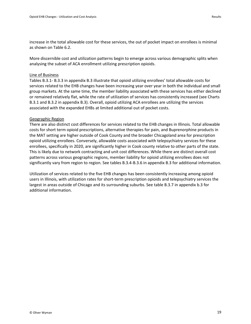increase in the total allowable cost for these services, the out of pocket impact on enrollees is minimal as shown on Table 6.2.

More discernible cost and utilization patterns begin to emerge across various demographic splits when analysing the subset of ACA enrollment utilizing prescription opioids.

#### Line of Business

Tables B.3.1- B.3.3 in appendix B.3 illustrate that opioid utilizing enrollees' total allowable costs for services related to the EHB changes have been increasing year over year in both the individual and small group markets. At the same time, the member liability associated with these services has either declined or remained relatively flat, while the rate of utilization of services has consistently increased (see Charts B.3.1 and B.3.2 in appendix B.3). Overall, opioid utilizing ACA enrollees are utilizing the services associated with the expanded EHBs at limited additional out of pocket costs.

#### Geographic Region

There are also distinct cost differences for services related to the EHB changes in Illinois. Total allowable costs for short term opioid prescriptions, alternative therapies for pain, and Buprenorphine products in the MAT setting are higher outside of Cook County and the broader Chicagoland area for prescription opioid utilizing enrollees. Conversely, allowable costs associated with telepsychiatry services for these enrollees, specifically in 2020, are significantly higher in Cook county relative to other parts of the state. This is likely due to network contracting and unit cost differences. While there are distinct overall cost patterns across various geographic regions, member liability for opioid utilizing enrollees does not significantly vary from region to region. See tables B.3.4-B.3.6 in appendix B.3 for additional information.

Utilization of services related to the five EHB changes has been consistently increasing among opioid users in Illinois, with utilization rates for short-term prescription opioids and telepsychiatry services the largest in areas outside of Chicago and its surrounding suburbs. See table B.3.7 in appendix b.3 for additional information.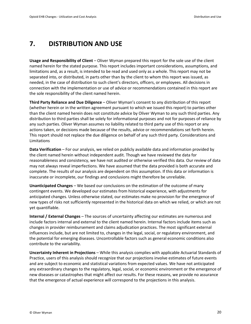#### <span id="page-22-0"></span>**7. DISTRIBUTION AND USE**

**Usage and Responsibility of Client** – Oliver Wyman prepared this report for the sole use of the client named herein for the stated purpose. This report includes important considerations, assumptions, and limitations and, as a result, is intended to be read and used only as a whole. This report may not be separated into, or distributed, in parts other than by the client to whom this report was issued, as needed, in the case of distribution to such client's directors, officers, or employees. All decisions in connection with the implementation or use of advice or recommendations contained in this report are the sole responsibility of the client named herein.

**Third Party Reliance and Due Diligence** – Oliver Wyman's consent to any distribution of this report (whether herein or in the written agreement pursuant to which we issued this report) to parties other than the client named herein does not constitute advice by Oliver Wyman to any such third parties. Any distribution to third parties shall be solely for informational purposes and not for purposes of reliance by any such parties. Oliver Wyman assumes no liability related to third party use of this report or any actions taken, or decisions made because of the results, advice or recommendations set forth herein. This report should not replace the due diligence on behalf of any such third party. Considerations and Limitations

**Data Verification** – For our analysis, we relied on publicly available data and information provided by the client named herein without independent audit. Though we have reviewed the data for reasonableness and consistency, we have not audited or otherwise verified this data. Our review of data may not always reveal imperfections. We have assumed that the data provided is both accurate and complete. The results of our analysis are dependent on this assumption. If this data or information is inaccurate or incomplete, our findings and conclusions might therefore be unreliable.

**Unanticipated Changes** – We based our conclusions on the estimation of the outcome of many contingent events. We developed our estimates from historical experience, with adjustments for anticipated changes. Unless otherwise stated, our estimates make no provision for the emergence of new types of risks not sufficiently represented in the historical data on which we relied, or which are not yet quantifiable.

**Internal / External Changes** – The sources of uncertainty affecting our estimates are numerous and include factors internal and external to the client named herein. Internal factors include items such as changes in provider reimbursement and claims adjudication practices. The most significant external influences include, but are not limited to, changes in the legal, social, or regulatory environment, and the potential for emerging diseases. Uncontrollable factors such as general economic conditions also contribute to the variability.

**Uncertainty Inherent in Projections** – While this analysis complies with applicable Actuarial Standards of Practice, users of this analysis should recognize that our projections involve estimates of future events and are subject to economic and statistical variations from expected values. We have not anticipated any extraordinary changes to the regulatory, legal, social, or economic environment or the emergence of new diseases or catastrophes that might affect our results. For these reasons, we provide no assurance that the emergence of actual experience will correspond to the projections in this analysis.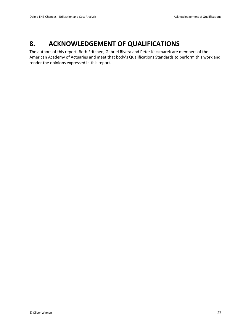#### <span id="page-23-0"></span>**8. ACKNOWLEDGEMENT OF QUALIFICATIONS**

The authors of this report, Beth Fritchen, Gabriel Rivera and Peter Kaczmarek are members of the American Academy of Actuaries and meet that body's Qualifications Standards to perform this work and render the opinions expressed in this report.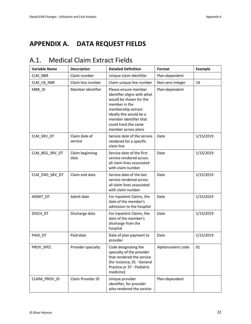## <span id="page-24-0"></span>**APPENDIX A. DATA REQUEST FIELDS**

## <span id="page-24-1"></span>A.1. Medical Claim Extract Fields

| <b>Variable Name</b> | <b>Description</b>       | <b>Detailed Definition</b>                                                                                                                                                                                                | Format            | <b>Example</b> |
|----------------------|--------------------------|---------------------------------------------------------------------------------------------------------------------------------------------------------------------------------------------------------------------------|-------------------|----------------|
| CLM_NBR              | Claim number             | Unique claim identifier                                                                                                                                                                                                   | Plan-dependent    |                |
| CLM_LN_NBR           | Claim line number        | Claim-unique line number                                                                                                                                                                                                  | Non-zero Integer  | 14             |
| MBR_ID               | Member Identifier        | Please ensure member<br>identifier aligns with what<br>would be shown for the<br>member in the<br>membership extract.<br>Ideally this would be a<br>member identifier that<br>could track the same<br>member across plans | Plan-dependent    |                |
| CLM_SRV_DT           | Claim date of<br>service | Service date of the service<br>rendered for a specific<br>claim line                                                                                                                                                      | Date              | 1/15/2019      |
| CLM BEG SRV DT       | Claim beginning<br>date  | Service date of the first<br>service rendered across<br>all claim lines associated<br>with claim number                                                                                                                   | Date              | 1/15/2019      |
| CLM END SRV DT       | Claim end date           | Service date of the last<br>service rendered across<br>all claim lines associated<br>with claim number                                                                                                                    | Date              | 1/15/2019      |
| ADMIT_DT             | Admit date               | For Inpatient Claims, the<br>date of the member's<br>admission to the hospital                                                                                                                                            | Date              | 1/15/2019      |
| DISCH DT             | Discharge date           | For Inpatient Claims, the<br>date of the member's<br>discharge from the<br>hospital                                                                                                                                       | Date              | 1/15/2019      |
| PAID_DT              | Paid date                | Date of plan payment to<br>provider                                                                                                                                                                                       | Date              | 1/15/2019      |
| PROV SPEC            | Provider specialty       | Code designating the<br>specialty of the provider<br>that rendered the service<br>(for instance, 01 - General<br>Practice or 37 - Pediatric<br>medicine)                                                                  | Alphanumeric code | 01             |
| CLAIM_PROV_ID        | Claim Provider ID        | Unique provider<br>identifier, for provider<br>who rendered the service                                                                                                                                                   | Plan-dependent    |                |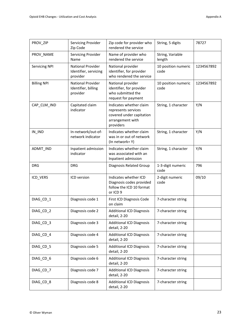| PROV ZIP             | <b>Servicing Provider</b><br>Zip Code                  | Zip code for provider who<br>rendered the service                                                           | String, 5 digits            | 78727      |
|----------------------|--------------------------------------------------------|-------------------------------------------------------------------------------------------------------------|-----------------------------|------------|
| PROV_NAME            | Servicing Provider<br>Name                             | Name of provider who<br>rendered the service                                                                | String, Variable<br>length  |            |
| <b>Servicing NPI</b> | National Provider<br>Identifier, servicing<br>provider | National provider<br>identifier, for provider<br>who rendered the service                                   | 10 position numeric<br>code | 1234567892 |
| <b>Billing NPI</b>   | National Provider<br>Identifier, billing<br>provider   | National provider<br>identifier, for provider<br>who submitted the<br>request for payment                   | 10 position numeric<br>code | 1234567892 |
| CAP_CLM_IND          | Capitated claim<br>indicator                           | Indicates whether claim<br>represents services<br>covered under capitation<br>arrangement with<br>providers | String, 1 character         | Y/N        |
| $IN$ <sub>_IND</sub> | In-network/out-of-<br>network indicator                | Indicates whether claim<br>was in or out of network<br>(In network=Y)                                       | String, 1 character         | Y/N        |
| ADMIT_IND            | Inpatient admission<br>indicator                       | Indicates whether claim<br>was associated with an<br>Inpatient admission                                    | String, 1 character         | Y/N        |
| <b>DRG</b>           | <b>DRG</b>                                             | Diagnosis Related Group                                                                                     | 1-3-digit numeric<br>code   | 796        |
| ICD_VERS             | ICD version                                            | Indicates whether ICD<br>Diagnosis codes provided<br>follow the ICD 10 format<br>or ICD 9                   | 2-digit numeric<br>code     | 09/10      |
| DIAG_CD_1            | Diagnosis code 1                                       | First ICD Diagnosis Code<br>on claim                                                                        | 7-character string          |            |
| DIAG_CD_2            | Diagnosis code 2                                       | <b>Additional ICD Diagnosis</b><br>detail, 2-20                                                             | 7-character string          |            |
| DIAG_CD_3            | Diagnosis code 3                                       | <b>Additional ICD Diagnosis</b><br>detail, 2-20                                                             | 7-character string          |            |
| DIAG_CD_4            | Diagnosis code 4                                       | <b>Additional ICD Diagnosis</b><br>detail, 2-20                                                             | 7-character string          |            |
| DIAG_CD_5            | Diagnosis code 5                                       | <b>Additional ICD Diagnosis</b><br>detail, 2-20                                                             | 7-character string          |            |
| DIAG_CD_6            | Diagnosis code 6                                       | <b>Additional ICD Diagnosis</b><br>detail, 2-20                                                             | 7-character string          |            |
| DIAG_CD_7            | Diagnosis code 7                                       | <b>Additional ICD Diagnosis</b><br>detail, 2-20                                                             | 7-character string          |            |
| DIAG_CD_8            | Diagnosis code 8                                       | <b>Additional ICD Diagnosis</b><br>detail, 2-20                                                             | 7-character string          |            |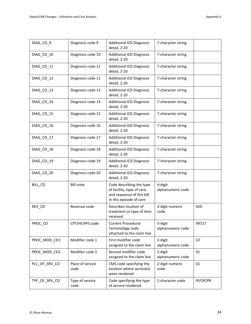| DIAG_CD_9     | Diagnosis code 9         | <b>Additional ICD Diagnosis</b><br>detail, 2-20                                                                | 7-character string           |          |
|---------------|--------------------------|----------------------------------------------------------------------------------------------------------------|------------------------------|----------|
| DIAG_CD_10    | Diagnosis code 10        | <b>Additional ICD Diagnosis</b><br>detail, 2-20                                                                | 7-character string           |          |
| DIAG_CD_11    | Diagnosis code 11        | <b>Additional ICD Diagnosis</b><br>detail, 2-20                                                                | 7-character string           |          |
| DIAG_CD_12    | Diagnosis code 12        | <b>Additional ICD Diagnosis</b><br>detail, 2-20                                                                | 7-character string           |          |
| DIAG_CD_13    | Diagnosis code 13        | <b>Additional ICD Diagnosis</b><br>detail, 2-20                                                                | 7-character string           |          |
| DIAG_CD_14    | Diagnosis code 14        | <b>Additional ICD Diagnosis</b><br>detail, 2-20                                                                | 7-character string           |          |
| DIAG_CD_15    | Diagnosis code 15        | <b>Additional ICD Diagnosis</b><br>detail, 2-20                                                                | 7-character string           |          |
| DIAG_CD_16    | Diagnosis code 16        | <b>Additional ICD Diagnosis</b><br>detail, 2-20                                                                | 7-character string           |          |
| DIAG_CD_17    | Diagnosis code 17        | <b>Additional ICD Diagnosis</b><br>detail, 2-20                                                                | 7-character string           |          |
| DIAG_CD_18    | Diagnosis code 18        | <b>Additional ICD Diagnosis</b><br>detail, 2-20                                                                | 7-character string           |          |
| DIAG_CD_19    | Diagnosis code 19        | <b>Additional ICD Diagnosis</b><br>detail, 2-20                                                                | 7-character string           |          |
| DIAG_CD_20    | Diagnosis code 20        | <b>Additional ICD Diagnosis</b><br>detail, 2-20                                                                | 7-character string           |          |
| BILL_CD       | <b>Bill code</b>         | Code describing the type<br>of facility, type of care,<br>and sequence of this bill<br>in this episode of care | 4-digit<br>alphanumeric code |          |
| REV_CD        | Revenue code             | Describes location of<br>treatment or type of item<br>received.                                                | 3-digit numeric<br>code      | 450      |
| PROC_CD       | CPT/HCHPS code           | <b>Current Procedural</b><br>Terminology code<br>attached to the claim line                                    | 5-digit<br>alphanumeric code | 99727    |
| PROC_MOD_CD1  | Modifier code 1          | First modifier code<br>assigned to the claim line                                                              | 2-digit<br>alphanumeric code | GT       |
| PROC_MOD_CD2  | Modifier code 2          | Second modifier code<br>assigned to the claim line                                                             | 2-digit<br>alphanumeric code | 91       |
| PLC_OF_SRV_CD | Place of service<br>code | CMS code specifying the<br>location where service(s)<br>were rendered                                          | 2-digit numeric<br>code      | 01       |
| TYP_OF_SRV_CD | Type of service<br>code  | Code specifying the type<br>of service rendered                                                                | 2-character code             | IP/OP/PR |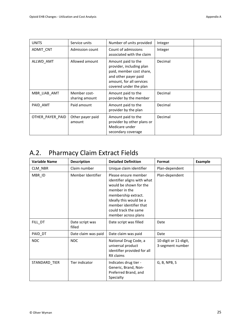| <b>UNITS</b>     | Service units                  | Number of units provided                                                                                                                                 | Integer |
|------------------|--------------------------------|----------------------------------------------------------------------------------------------------------------------------------------------------------|---------|
| ADMIT_CNT        | Admission count                | Count of admissions<br>associated with the claim                                                                                                         | Integer |
| ALLWD AMT        | Allowed amount                 | Amount paid to the<br>provider, including plan<br>paid, member cost share,<br>and other payer paid<br>amount, for all services<br>covered under the plan | Decimal |
| MBR LIAB AMT     | Member cost-<br>sharing amount | Amount paid to the<br>provider by the member                                                                                                             | Decimal |
| PAID AMT         | Paid amount                    | Amount paid to the<br>provider by the plan                                                                                                               | Decimal |
| OTHER PAYER PAID | Other payer paid<br>amount     | Amount paid to the<br>provider by other plans or<br>Medicare under<br>secondary coverage                                                                 | Decimal |

# <span id="page-27-0"></span>A.2. Pharmacy Claim Extract Fields

| <b>Variable Name</b> | <b>Description</b>        | <b>Detailed Definition</b>                                                                                                                                                                                                | Format                                    | <b>Example</b> |
|----------------------|---------------------------|---------------------------------------------------------------------------------------------------------------------------------------------------------------------------------------------------------------------------|-------------------------------------------|----------------|
| CLM_NBR              | Claim number              | Unique claim identifier                                                                                                                                                                                                   | Plan-dependent                            |                |
| MBR_ID               | Member Identifier         | Please ensure member<br>identifier aligns with what<br>would be shown for the<br>member in the<br>membership extract.<br>Ideally this would be a<br>member identifier that<br>could track the same<br>member across plans | Plan-dependent                            |                |
| FILL DT              | Date script was<br>filled | Date script was filled                                                                                                                                                                                                    | Date                                      |                |
| PAID_DT              | Date claim was paid       | Date claim was paid                                                                                                                                                                                                       | Date                                      |                |
| <b>NDC</b>           | <b>NDC</b>                | National Drug Code, a<br>universal product<br>identifier provided for all<br>RX claims                                                                                                                                    | 10-digit or 11-digit,<br>3-segment number |                |
| STANDARD_TIER        | Tier indicator            | Indicates drug tier -<br>Generic, Brand, Non-<br>Preferred Brand, and<br>Specialty                                                                                                                                        | G, B, NPB, S                              |                |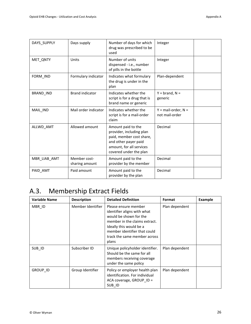| DAYS_SUPPLY  | Days supply                    | Number of days for which<br>drug was prescribed to be<br>used                                                                                            | Integer                                 |
|--------------|--------------------------------|----------------------------------------------------------------------------------------------------------------------------------------------------------|-----------------------------------------|
| MET_QNTY     | Units                          | Number of units<br>dispensed - i.e., number<br>of pills in the bottle                                                                                    | Integer                                 |
| FORM IND     | Formulary indicator            | Indicates what formulary<br>the drug is under in the<br>plan                                                                                             | Plan-dependent                          |
| BRAND_IND    | <b>Brand indicator</b>         | Indicates whether the<br>script is for a drug that is<br>brand name or generic                                                                           | $Y = brand, N =$<br>generic             |
| MAIL IND     | Mail order indicator           | Indicates whether the<br>script is for a mail-order<br>claim                                                                                             | $Y = mail-order, N =$<br>not mail-order |
| ALLWD AMT    | Allowed amount                 | Amount paid to the<br>provider, including plan<br>paid, member cost share,<br>and other payer paid<br>amount, for all services<br>covered under the plan | Decimal                                 |
| MBR LIAB AMT | Member cost-<br>sharing amount | Amount paid to the<br>provider by the member                                                                                                             | Decimal                                 |
| PAID AMT     | Paid amount                    | Amount paid to the<br>provider by the plan                                                                                                               | Decimal                                 |

# <span id="page-28-0"></span>A.3. Membership Extract Fields

| <b>Variable Name</b> | <b>Description</b> | <b>Detailed Definition</b>                                                                                                                                                                                         | Format         | <b>Example</b> |
|----------------------|--------------------|--------------------------------------------------------------------------------------------------------------------------------------------------------------------------------------------------------------------|----------------|----------------|
| MBR ID               | Member Identifier  | Please ensure member<br>identifier aligns with what<br>would be shown for the<br>member in the claims extract.<br>Ideally this would be a<br>member identifier that could<br>track the same member across<br>plans | Plan dependent |                |
| SUB ID               | Subscriber ID      | Unique policyholder identifier.<br>Should be the same for all<br>members receiving coverage<br>under the same policy                                                                                               | Plan dependent |                |
| <b>GROUP ID</b>      | Group Identifier   | Policy or employer health plan<br>identification. For individual<br>ACA coverage, GROUP $ID =$<br>SUB ID                                                                                                           | Plan dependent |                |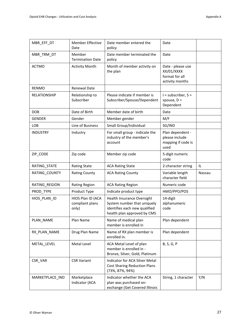| MBR_EFF_DT      | <b>Member Effective</b><br>Date               | Date member entered the<br>policy                                                                                         | Date                                                                 |        |
|-----------------|-----------------------------------------------|---------------------------------------------------------------------------------------------------------------------------|----------------------------------------------------------------------|--------|
| MBR_TRM_DT      | Member<br><b>Termination Date</b>             | Date member terminated the<br>policy                                                                                      | Date                                                                 |        |
| <b>ACTMO</b>    | <b>Activity Month</b>                         | Month of member activity on<br>the plan                                                                                   | Date - please use<br>XX/01/XXXX<br>format for all<br>activity months |        |
| <b>RENMO</b>    | <b>Renewal Date</b>                           |                                                                                                                           |                                                                      |        |
| RELATIONSHIP    | Relationship to<br>Subscriber                 | Please indicate if member is<br>Subscriber/Spouse/Dependent                                                               | $I =$ subscriber, $S =$<br>spouse, $D =$<br>Dependent                |        |
| <b>DOB</b>      | Date of Birth                                 | Member date of birth                                                                                                      | Date                                                                 |        |
| <b>GENDER</b>   | Gender                                        | Member gender                                                                                                             | M/F                                                                  |        |
| LOB             | Line of Business                              | Small Group/Individual                                                                                                    | SG/IND                                                               |        |
| <b>INDUSTRY</b> | Industry                                      | For small group - indicate the<br>industry of the member's<br>account                                                     | Plan dependent -<br>please include<br>mapping if code is<br>used     |        |
| ZIP_CODE        | Zip code                                      | Member zip code                                                                                                           | 5-digit numeric<br>code                                              |        |
| RATING_STATE    | <b>Rating State</b>                           | <b>ACA Rating State</b>                                                                                                   | 2-character string                                                   | IL.    |
| RATING COUNTY   | <b>Rating County</b>                          | <b>ACA Rating County</b>                                                                                                  | Variable length<br>character field                                   | Nassau |
| RATING_REGION   | <b>Rating Region</b>                          | <b>ACA Rating Region</b>                                                                                                  | Numeric code                                                         |        |
| PROD_TYPE       | Product Type                                  | Indicate product type                                                                                                     | HMO/PPO/POS                                                          |        |
| HIOS_PLAN_ID    | HIOS Plan ID (ACA<br>compliant plans<br>only) | Health Insurance Oversight<br>System number that uniquely<br>identifies each new qualified<br>health plan approved by CMS | 14-digit<br>alphanumeric<br>code                                     |        |
| PLAN NAME       | Plan Name                                     | Name of medical plan<br>member is enrolled in                                                                             | Plan dependent                                                       |        |
| RX_PLAN_NAME    | Drug Plan Name                                | Name of RX plan member is<br>enrolled in.                                                                                 | Plan dependent                                                       |        |
| METAL_LEVEL     | Metal Level                                   | ACA Metal Level of plan<br>member is enrolled in -<br>Bronze, Silver, Gold, Platinum                                      | B, S, G, P                                                           |        |
| CSR VAR         | <b>CSR Variant</b>                            | Indicator for ACA Silver Metal<br><b>Cost Sharing Reduction Plans</b><br>(73%, 87%, 94%)                                  |                                                                      |        |
| MARKETPLACE_IND | Marketplace<br>Indicator (ACA                 | Indicator whether the ACA<br>plan was purchased on-<br>exchange (Get Covered Illinois                                     | String, 1 character                                                  | Y/N    |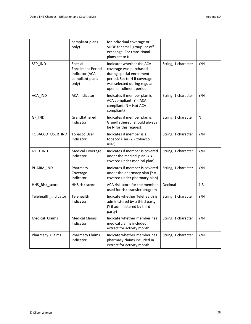|                      | compliant plans<br>only)                                                          | for individual coverage or<br>SHOP for small group) or off-<br>exchange. For transitional<br>plans set to N.                                                               |                     |         |
|----------------------|-----------------------------------------------------------------------------------|----------------------------------------------------------------------------------------------------------------------------------------------------------------------------|---------------------|---------|
| SEP_IND              | Special<br><b>Enrollment Period</b><br>Indicator (ACA<br>compliant plans<br>only) | Indicator whether the ACA<br>coverage was purchased<br>during special enrollment<br>period. Set to N if coverage<br>was selected during regular<br>open enrollment period. | String, 1 character | Y/N     |
| ACA_IND              | <b>ACA Indicator</b>                                                              | Indicates if member plan is<br>ACA compliant (Y = ACA<br>compliant, N = Not ACA<br>compliant)                                                                              | String, 1 character | Y/N     |
| GF_IND               | Grandfathered<br>Indicator                                                        | Indicates if member plan is<br>Grandfathered (should always<br>be N for this request)                                                                                      | String, 1 character | N       |
| TOBACCO_USER_IND     | <b>Tobacco User</b><br>Indicator                                                  | Indicates if member is a<br>tobacco user (Y = tobacco<br>user)                                                                                                             | String, 1 character | Y/N     |
| MED_IND              | <b>Medical Coverage</b><br>Indicator                                              | Indicates if member is covered<br>under the medical plan ( $Y =$<br>covered under medical plan)                                                                            | String, 1 character | Y/N     |
| PHARM_IND            | Pharmacy<br>Coverage<br>Indicator                                                 | Indicates if member is covered<br>under the pharmacy plan $(Y =$<br>covered under pharmacy plan)                                                                           | String, 1 character | Y/N     |
| HHS_Risk_score       | HHS risk score                                                                    | ACA risk score for the member<br>used for risk transfer program                                                                                                            | Decimal             | $1.3\,$ |
| Telehealth_indicator | Telehealth<br>Indicator                                                           | Indicate whether Telehealth is<br>administered by a third party<br>(Y if administered by third<br>party)                                                                   | String, 1 character | Y/N     |
| Medical_Claims       | <b>Medical Claims</b><br>Indicator                                                | Indicate whether member has<br>medical claims included in<br>extract for activity month                                                                                    | String, 1 character | Y/N     |
| Pharmacy_Claims      | <b>Pharmacy Claims</b><br>Indicator                                               | Indicate whether member has<br>pharmacy claims included in<br>extract for activity month                                                                                   | String, 1 character | Y/N     |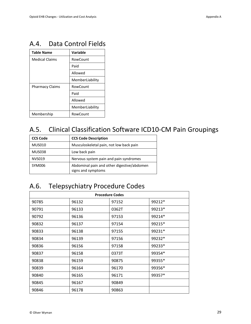#### <span id="page-31-0"></span>A.4. Data Control Fields

| <b>Table Name</b>      | Variable        |
|------------------------|-----------------|
| <b>Medical Claims</b>  | RowCount        |
|                        | Paid            |
|                        | Allowed         |
|                        | MemberLiability |
| <b>Pharmacy Claims</b> | RowCount        |
|                        | Paid            |
|                        | Allowed         |
|                        | MemberLiability |
| Membership             | RowCount        |

# <span id="page-31-1"></span>A.5. Clinical Classification Software ICD10-CM Pain Groupings

| <b>CCS Code</b> | <b>CCS Code Description</b>                                      |
|-----------------|------------------------------------------------------------------|
| <b>MUS010</b>   | Musculoskeletal pain, not low back pain                          |
| <b>MUS038</b>   | Low back pain                                                    |
| <b>NVS019</b>   | Nervous system pain and pain syndromes                           |
| SYM006          | Abdominal pain and other digestive/abdomen<br>signs and symptoms |

## <span id="page-31-2"></span>A.6. Telepsychiatry Procedure Codes

| <b>Procedure Codes</b> |       |       |        |  |
|------------------------|-------|-------|--------|--|
| 90785                  | 96132 | 97152 | 99212* |  |
| 90791                  | 96133 | 0362T | 99213* |  |
| 90792                  | 96136 | 97153 | 99214* |  |
| 90832                  | 96137 | 97154 | 99215* |  |
| 90833                  | 96138 | 97155 | 99231* |  |
| 90834                  | 96139 | 97156 | 99232* |  |
| 90836                  | 96156 | 97158 | 99233* |  |
| 90837                  | 96158 | 0373T | 99354* |  |
| 90838                  | 96159 | 90875 | 99355* |  |
| 90839                  | 96164 | 96170 | 99356* |  |
| 90840                  | 96165 | 96171 | 99357* |  |
| 90845                  | 96167 | 90849 |        |  |
| 90846                  | 96178 | 90863 |        |  |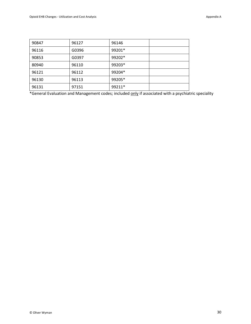| 90847 | 96127 | 96146    |  |
|-------|-------|----------|--|
| 96116 | G0396 | 99201*   |  |
| 90853 | G0397 | $99202*$ |  |
| 80940 | 96110 | 99203*   |  |
| 96121 | 96112 | 99204*   |  |
| 96130 | 96113 | 99205*   |  |
| 96131 | 97151 | 99211*   |  |

\*General Evaluation and Management codes; included only if associated with a psychiatric speciality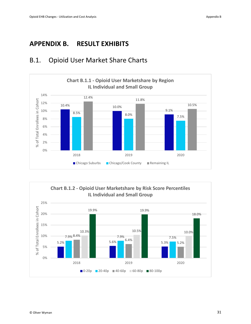#### <span id="page-33-0"></span>**APPENDIX B. RESULT EXHIBITS**



#### <span id="page-33-1"></span>B.1. Opioid User Market Share Charts

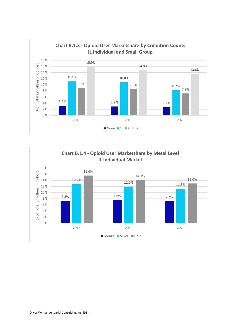

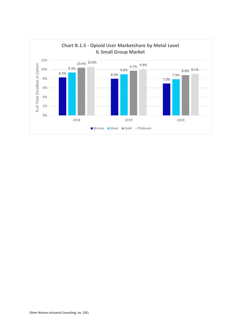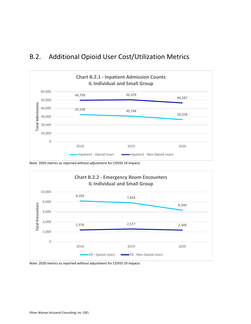#### <span id="page-36-0"></span>B.2. Additional Opioid User Cost/Utilization Metrics



Note: 2020 metrics as reported without adjustment for COVID-19 impacts



Note: 2020 metrics as reported without adjustment for COVID-19 impacts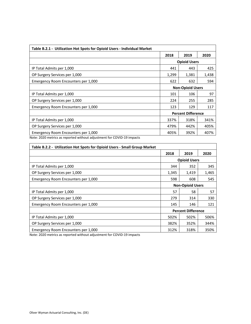| Table B.2.1 - Utilization Hot Spots for Opioid Users - Individual Market                                      |       |                           |       |  |
|---------------------------------------------------------------------------------------------------------------|-------|---------------------------|-------|--|
|                                                                                                               | 2018  | 2019                      | 2020  |  |
|                                                                                                               |       | <b>Opioid Users</b>       |       |  |
| IP Total Admits per 1,000                                                                                     | 441   | 443                       | 425   |  |
| OP Surgery Services per 1,000                                                                                 | 1,299 | 1,381                     | 1,438 |  |
| Emergency Room Encounters per 1,000                                                                           | 622   | 632                       | 594   |  |
|                                                                                                               |       | <b>Non-Opioid Users</b>   |       |  |
| IP Total Admits per 1,000                                                                                     | 101   | 106                       | 97    |  |
| OP Surgery Services per 1,000                                                                                 | 224   | 255                       | 285   |  |
| Emergency Room Encounters per 1,000                                                                           | 123   | 129                       | 117   |  |
|                                                                                                               |       | <b>Percent Difference</b> |       |  |
| IP Total Admits per 1,000                                                                                     | 337%  | 318%                      | 341%  |  |
| OP Surgery Services per 1,000                                                                                 | 479%  | 442%                      | 405%  |  |
| Emergency Room Encounters per 1,000<br>Note: 2020 motrics as reported without adjustment for COVID 10 impacts | 405%  | 392%                      | 407%  |  |

| Table B.2.2 - Utilization Hot Spots for Opioid Users - Small Group Market |                                                                                                                        |      |       |  |  |  |  |
|---------------------------------------------------------------------------|------------------------------------------------------------------------------------------------------------------------|------|-------|--|--|--|--|
|                                                                           | 2018                                                                                                                   | 2019 | 2020  |  |  |  |  |
|                                                                           | <b>Opioid Users</b><br>352<br>344<br>1,345<br>1,419<br>598<br>608<br><b>Non-Opioid Users</b><br>57<br>58<br>279<br>314 |      |       |  |  |  |  |
| IP Total Admits per 1,000                                                 |                                                                                                                        |      | 345   |  |  |  |  |
| OP Surgery Services per 1,000                                             |                                                                                                                        |      | 1,465 |  |  |  |  |
| Emergency Room Encounters per 1,000                                       |                                                                                                                        |      | 545   |  |  |  |  |
|                                                                           |                                                                                                                        |      |       |  |  |  |  |
| IP Total Admits per 1,000                                                 |                                                                                                                        |      | 57    |  |  |  |  |
| OP Surgery Services per 1,000                                             |                                                                                                                        |      | 330   |  |  |  |  |
| Emergency Room Encounters per 1,000                                       | 145                                                                                                                    | 146  | 121   |  |  |  |  |
|                                                                           | <b>Percent Difference</b>                                                                                              |      |       |  |  |  |  |
| IP Total Admits per 1,000                                                 | 502%                                                                                                                   | 502% | 506%  |  |  |  |  |
| OP Surgery Services per 1,000                                             | 382%                                                                                                                   | 352% | 344%  |  |  |  |  |
| Emergency Room Encounters per 1,000                                       | 312%                                                                                                                   | 318% | 350%  |  |  |  |  |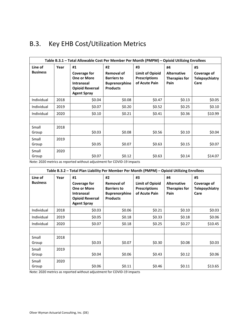| Table B.3.1 - Total Allowable Cost Per Member Per Month (PMPM) - Opioid Utilizing Enrollees |      |                                                                                                                      |                                                                                   |                                                                       |                                                          |                                                    |
|---------------------------------------------------------------------------------------------|------|----------------------------------------------------------------------------------------------------------------------|-----------------------------------------------------------------------------------|-----------------------------------------------------------------------|----------------------------------------------------------|----------------------------------------------------|
| Line of<br><b>Business</b>                                                                  | Year | #1<br><b>Coverage for</b><br><b>One or More</b><br><b>Intranasal</b><br><b>Opioid Reversal</b><br><b>Agent Spray</b> | #2<br>Removal of<br><b>Barriers to</b><br><b>Buprenorphine</b><br><b>Products</b> | #3<br><b>Limit of Opioid</b><br><b>Prescriptions</b><br>of Acute Pain | #4<br><b>Alternative</b><br><b>Therapies for</b><br>Pain | #5<br>Coverage of<br><b>Telepsychiatry</b><br>Care |
| Individual                                                                                  | 2018 | \$0.04                                                                                                               | \$0.08                                                                            | \$0.47                                                                | \$0.13                                                   | \$0.05                                             |
| Individual                                                                                  | 2019 | \$0.07                                                                                                               | \$0.20                                                                            | \$0.52                                                                | \$0.25                                                   | \$0.10                                             |
| Individual                                                                                  | 2020 | \$0.10                                                                                                               | \$0.21                                                                            | \$0.41                                                                | \$0.36                                                   | \$10.99                                            |
|                                                                                             |      |                                                                                                                      |                                                                                   |                                                                       |                                                          |                                                    |
| Small<br>Group                                                                              | 2018 | \$0.03                                                                                                               | \$0.08                                                                            | \$0.56                                                                | \$0.10                                                   | \$0.04                                             |
| Small<br>Group                                                                              | 2019 | \$0.05                                                                                                               | \$0.07                                                                            | \$0.63                                                                | \$0.15                                                   | \$0.07                                             |
| Small<br>Group                                                                              | 2020 | \$0.07                                                                                                               | \$0.12                                                                            | \$0.63                                                                | \$0.14                                                   | \$14.07                                            |

## <span id="page-38-0"></span>B.3. Key EHB Cost/Utilization Metrics

Note: 2020 metrics as reported without adjustment for COVID-19 impacts

| Table B.3.2 - Total Plan Liability Per Member Per Month (PMPM) - Opioid Utilizing Enrollees |      |                                                                                                               |                                                                                   |                                                                       |                                                   |                                                    |  |
|---------------------------------------------------------------------------------------------|------|---------------------------------------------------------------------------------------------------------------|-----------------------------------------------------------------------------------|-----------------------------------------------------------------------|---------------------------------------------------|----------------------------------------------------|--|
| Line of<br><b>Business</b>                                                                  | Year | #1<br>Coverage for<br><b>One or More</b><br><b>Intranasal</b><br><b>Opioid Reversal</b><br><b>Agent Spray</b> | #2<br>Removal of<br><b>Barriers to</b><br><b>Buprenorphine</b><br><b>Products</b> | #3<br><b>Limit of Opioid</b><br><b>Prescriptions</b><br>of Acute Pain | #4<br><b>Alternative</b><br>Therapies for<br>Pain | #5<br>Coverage of<br><b>Telepsychiatry</b><br>Care |  |
| Individual                                                                                  | 2018 | \$0.03                                                                                                        | \$0.06                                                                            | \$0.21                                                                | \$0.10                                            | \$0.03                                             |  |
| Individual                                                                                  | 2019 | \$0.05                                                                                                        | \$0.18                                                                            | \$0.33                                                                | \$0.18                                            | \$0.06                                             |  |
| Individual                                                                                  | 2020 | \$0.07                                                                                                        | \$0.18                                                                            | \$0.25                                                                | \$0.27                                            | \$10.45                                            |  |
|                                                                                             |      |                                                                                                               |                                                                                   |                                                                       |                                                   |                                                    |  |
| Small<br>Group                                                                              | 2018 | \$0.03                                                                                                        | \$0.07                                                                            | \$0.30                                                                | \$0.08                                            | \$0.03                                             |  |
| Small<br>Group                                                                              | 2019 | \$0.04                                                                                                        | \$0.06                                                                            | \$0.43                                                                | \$0.12                                            | \$0.06                                             |  |
| Small<br>Group                                                                              | 2020 | \$0.06                                                                                                        | \$0.11                                                                            | \$0.46                                                                | \$0.11                                            | \$13.65                                            |  |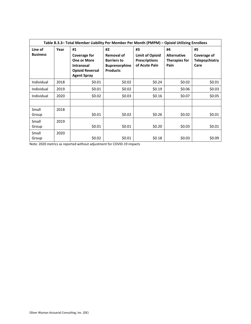| Table B.3.3- Total Member Liability Per Member Per Month (PMPM) - Opioid Utilizing Enrollees |      |                                                                                                               |                                                                                   |                                                                       |                                                          |                                                    |
|----------------------------------------------------------------------------------------------|------|---------------------------------------------------------------------------------------------------------------|-----------------------------------------------------------------------------------|-----------------------------------------------------------------------|----------------------------------------------------------|----------------------------------------------------|
| Line of<br><b>Business</b>                                                                   | Year | #1<br>Coverage for<br><b>One or More</b><br><b>Intranasal</b><br><b>Opioid Reversal</b><br><b>Agent Spray</b> | #2<br>Removal of<br><b>Barriers to</b><br><b>Buprenorphine</b><br><b>Products</b> | #3<br><b>Limit of Opioid</b><br><b>Prescriptions</b><br>of Acute Pain | #4<br><b>Alternative</b><br><b>Therapies for</b><br>Pain | #5<br>Coverage of<br><b>Telepsychiatry</b><br>Care |
| Individual                                                                                   | 2018 | \$0.01                                                                                                        | \$0.02                                                                            | \$0.24                                                                | \$0.02\$                                                 | \$0.01                                             |
| Individual                                                                                   | 2019 | \$0.01                                                                                                        | \$0.02                                                                            | \$0.19                                                                | \$0.06                                                   | \$0.03                                             |
| Individual                                                                                   | 2020 | \$0.02                                                                                                        | \$0.03                                                                            | \$0.16                                                                | \$0.07                                                   | \$0.05                                             |
|                                                                                              |      |                                                                                                               |                                                                                   |                                                                       |                                                          |                                                    |
| Small<br>Group                                                                               | 2018 | \$0.01                                                                                                        | \$0.02                                                                            | \$0.26                                                                | \$0.02                                                   | \$0.01                                             |
| Small<br>Group                                                                               | 2019 | \$0.01                                                                                                        | \$0.01                                                                            | \$0.20                                                                | \$0.03                                                   | \$0.01                                             |
| Small<br>Group                                                                               | 2020 | \$0.02                                                                                                        | \$0.01                                                                            | \$0.18                                                                | \$0.03                                                   | \$0.09                                             |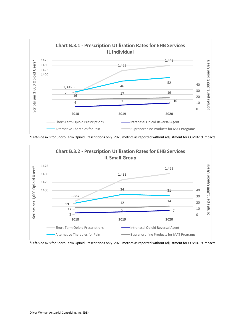

\*Left-side axis for Short-Term Opioid Prescriptions only. 2020 metrics as reported without adjustment for COVID-19 impacts



\*Left-side axis for Short-Term Opioid Prescriptions only. 2020 metrics as reported without adjustment for COVID-19 impacts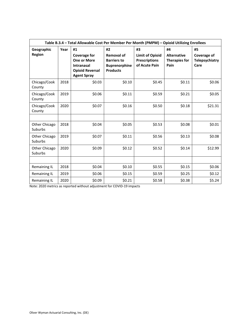| Table B.3.4 - Total Allowable Cost Per Member Per Month (PMPM) - Opioid Utilizing Enrollees |      |                                                                                                                      |                                                                                          |                                                                       |                                                          |                                                    |
|---------------------------------------------------------------------------------------------|------|----------------------------------------------------------------------------------------------------------------------|------------------------------------------------------------------------------------------|-----------------------------------------------------------------------|----------------------------------------------------------|----------------------------------------------------|
| Geographic<br>Region                                                                        | Year | #1<br><b>Coverage for</b><br><b>One or More</b><br><b>Intranasal</b><br><b>Opioid Reversal</b><br><b>Agent Spray</b> | #2<br><b>Removal of</b><br><b>Barriers to</b><br><b>Buprenorphine</b><br><b>Products</b> | #3<br><b>Limit of Opioid</b><br><b>Prescriptions</b><br>of Acute Pain | #4<br><b>Alternative</b><br><b>Therapies for</b><br>Pain | #5<br>Coverage of<br><b>Telepsychiatry</b><br>Care |
| Chicago/Cook<br>County                                                                      | 2018 | \$0.03                                                                                                               | \$0.10                                                                                   | \$0.45                                                                | \$0.11                                                   | \$0.06                                             |
| Chicago/Cook<br>County                                                                      | 2019 | \$0.06                                                                                                               | \$0.11                                                                                   | \$0.59                                                                | \$0.21                                                   | \$0.05                                             |
| Chicago/Cook<br>County                                                                      | 2020 | \$0.07                                                                                                               | \$0.16                                                                                   | \$0.50                                                                | \$0.18                                                   | \$21.31                                            |
| Other Chicago<br>Suburbs                                                                    | 2018 | \$0.04                                                                                                               | \$0.05                                                                                   | \$0.53                                                                | \$0.08                                                   | \$0.01                                             |
| Other Chicago<br>Suburbs                                                                    | 2019 | \$0.07                                                                                                               | \$0.11                                                                                   | \$0.56                                                                | \$0.13                                                   | \$0.08                                             |
| Other Chicago<br>Suburbs                                                                    | 2020 | \$0.09                                                                                                               | \$0.12                                                                                   | \$0.52                                                                | \$0.14                                                   | \$12.99                                            |
| Remaining IL                                                                                | 2018 | \$0.04                                                                                                               | \$0.10                                                                                   | \$0.55                                                                | \$0.15                                                   | \$0.06                                             |
| Remaining IL                                                                                | 2019 | \$0.06                                                                                                               | \$0.15                                                                                   | \$0.59                                                                | \$0.25                                                   | \$0.12                                             |
| Remaining IL                                                                                | 2020 | \$0.09                                                                                                               | \$0.21                                                                                   | \$0.58                                                                | \$0.38                                                   | \$5.24                                             |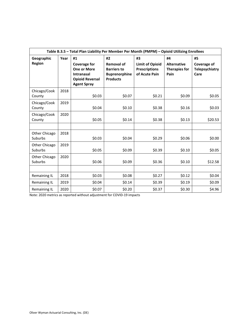| Table B.3.5 - Total Plan Liability Per Member Per Month (PMPM) - Opioid Utilizing Enrollees |      |                                                                                                                      |                                                                                          |                                                                       |                                                          |                                                    |  |
|---------------------------------------------------------------------------------------------|------|----------------------------------------------------------------------------------------------------------------------|------------------------------------------------------------------------------------------|-----------------------------------------------------------------------|----------------------------------------------------------|----------------------------------------------------|--|
| Geographic<br>Region                                                                        | Year | #1<br><b>Coverage for</b><br><b>One or More</b><br><b>Intranasal</b><br><b>Opioid Reversal</b><br><b>Agent Spray</b> | #2<br><b>Removal of</b><br><b>Barriers to</b><br><b>Buprenorphine</b><br><b>Products</b> | #3<br><b>Limit of Opioid</b><br><b>Prescriptions</b><br>of Acute Pain | #4<br><b>Alternative</b><br><b>Therapies for</b><br>Pain | #5<br>Coverage of<br><b>Telepsychiatry</b><br>Care |  |
| Chicago/Cook<br>County                                                                      | 2018 | \$0.03                                                                                                               | \$0.07                                                                                   | \$0.21                                                                | \$0.09                                                   | \$0.05                                             |  |
| Chicago/Cook<br>County                                                                      | 2019 | \$0.04                                                                                                               | \$0.10                                                                                   | \$0.38                                                                | \$0.16                                                   | \$0.03                                             |  |
| Chicago/Cook<br>County                                                                      | 2020 | \$0.05                                                                                                               | \$0.14                                                                                   | \$0.38                                                                | \$0.13                                                   | \$20.53                                            |  |
| Other Chicago<br>Suburbs                                                                    | 2018 | \$0.03                                                                                                               | \$0.04                                                                                   | \$0.29                                                                | \$0.06                                                   | \$0.00                                             |  |
| Other Chicago<br>Suburbs                                                                    | 2019 | \$0.05                                                                                                               | \$0.09                                                                                   | \$0.39                                                                | \$0.10                                                   | \$0.05                                             |  |
| Other Chicago<br>Suburbs                                                                    | 2020 | \$0.06                                                                                                               | \$0.09                                                                                   | \$0.36                                                                | \$0.10                                                   | \$12.58                                            |  |
|                                                                                             | 2018 | \$0.03                                                                                                               | \$0.08                                                                                   | \$0.27                                                                | \$0.12                                                   | \$0.04                                             |  |
| Remaining IL<br>Remaining IL                                                                | 2019 | \$0.04                                                                                                               | \$0.14                                                                                   | \$0.39                                                                | \$0.19                                                   | \$0.09                                             |  |
| Remaining IL                                                                                | 2020 | \$0.07                                                                                                               | \$0.20                                                                                   | \$0.37                                                                | \$0.30                                                   | \$4.96                                             |  |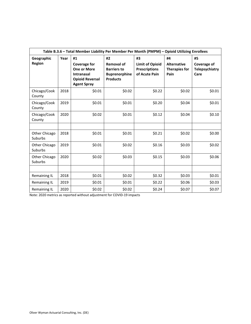| Table B.3.6 - Total Member Liability Per Member Per Month (PMPM) - Opioid Utilizing Enrollees |      |                                                                                                                      |                                                                                          |                                                                       |                                                          |                                                    |  |
|-----------------------------------------------------------------------------------------------|------|----------------------------------------------------------------------------------------------------------------------|------------------------------------------------------------------------------------------|-----------------------------------------------------------------------|----------------------------------------------------------|----------------------------------------------------|--|
| Geographic<br>Region                                                                          | Year | #1<br><b>Coverage for</b><br><b>One or More</b><br><b>Intranasal</b><br><b>Opioid Reversal</b><br><b>Agent Spray</b> | #2<br><b>Removal of</b><br><b>Barriers to</b><br><b>Buprenorphine</b><br><b>Products</b> | #3<br><b>Limit of Opioid</b><br><b>Prescriptions</b><br>of Acute Pain | #4<br><b>Alternative</b><br><b>Therapies for</b><br>Pain | #5<br>Coverage of<br><b>Telepsychiatry</b><br>Care |  |
| Chicago/Cook<br>County                                                                        | 2018 | \$0.01                                                                                                               | \$0.02                                                                                   | \$0.22                                                                | \$0.02                                                   | \$0.01                                             |  |
| Chicago/Cook<br>County                                                                        | 2019 | \$0.01                                                                                                               | \$0.01                                                                                   | \$0.20                                                                | \$0.04                                                   | \$0.01                                             |  |
| Chicago/Cook<br>County                                                                        | 2020 | \$0.02                                                                                                               | \$0.01                                                                                   | \$0.12                                                                | \$0.04                                                   | \$0.10                                             |  |
| Other Chicago<br>Suburbs                                                                      | 2018 | \$0.01                                                                                                               | \$0.01                                                                                   | \$0.21                                                                | \$0.02                                                   | \$0.00                                             |  |
| Other Chicago<br>Suburbs                                                                      | 2019 | \$0.01                                                                                                               | \$0.02                                                                                   | \$0.16                                                                | \$0.03                                                   | \$0.02                                             |  |
| Other Chicago<br>Suburbs                                                                      | 2020 | \$0.02                                                                                                               | \$0.03                                                                                   | \$0.15                                                                | \$0.03                                                   | \$0.06                                             |  |
|                                                                                               |      |                                                                                                                      |                                                                                          |                                                                       |                                                          |                                                    |  |
| Remaining IL                                                                                  | 2018 | \$0.01                                                                                                               | \$0.02                                                                                   | \$0.32                                                                | \$0.03                                                   | \$0.01                                             |  |
| Remaining IL                                                                                  | 2019 | \$0.01                                                                                                               | \$0.01                                                                                   | \$0.22                                                                | \$0.06                                                   | \$0.03                                             |  |
| Remaining IL                                                                                  | 2020 | \$0.02                                                                                                               | \$0.02                                                                                   | \$0.24                                                                | \$0.07                                                   | \$0.07                                             |  |